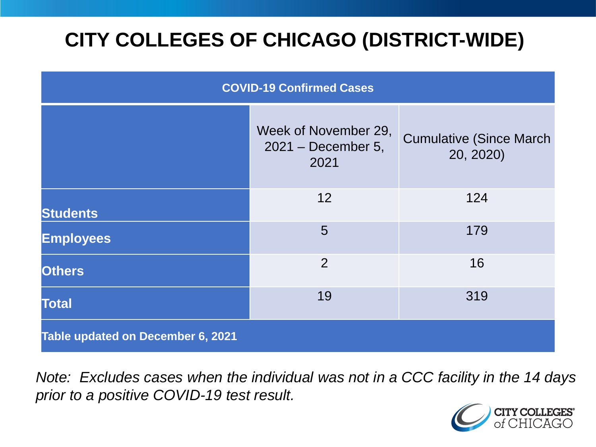# **CITY COLLEGES OF CHICAGO (DISTRICT-WIDE)**

| <b>COVID-19 Confirmed Cases</b>   |                                                      |                                              |
|-----------------------------------|------------------------------------------------------|----------------------------------------------|
|                                   | Week of November 29,<br>$2021 - December 5,$<br>2021 | <b>Cumulative (Since March)</b><br>20, 2020) |
| <b>Students</b>                   | 12                                                   | 124                                          |
| <b>Employees</b>                  | 5                                                    | 179                                          |
| <b>Others</b>                     | 2                                                    | 16                                           |
| <b>Total</b>                      | 19                                                   | 319                                          |
| Table updated on December 6, 2021 |                                                      |                                              |

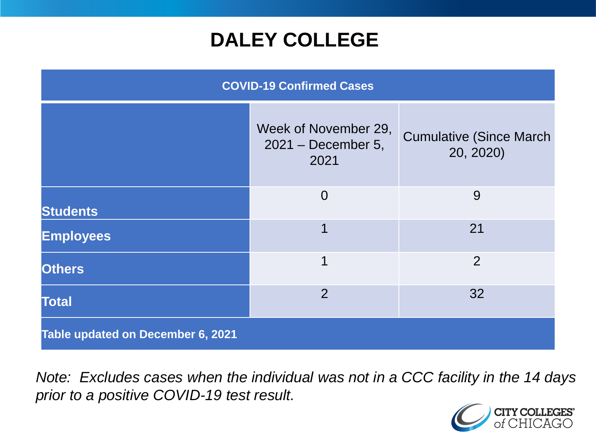## **DALEY COLLEGE**

| <b>COVID-19 Confirmed Cases</b>   |                                                      |                                              |
|-----------------------------------|------------------------------------------------------|----------------------------------------------|
|                                   | Week of November 29,<br>$2021 - December 5,$<br>2021 | <b>Cumulative (Since March)</b><br>20, 2020) |
| <b>Students</b>                   | $\overline{0}$                                       | 9                                            |
| <b>Employees</b>                  | 1                                                    | 21                                           |
| <b>Others</b>                     | 1                                                    | $\overline{2}$                               |
| <b>Total</b>                      | 2                                                    | 32                                           |
| Table updated on December 6, 2021 |                                                      |                                              |

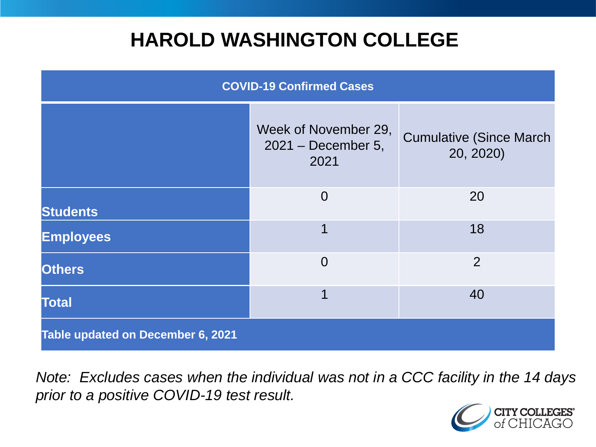## **HAROLD WASHINGTON COLLEGE**

| <b>COVID-19 Confirmed Cases</b>   |                                                    |                                              |
|-----------------------------------|----------------------------------------------------|----------------------------------------------|
|                                   | Week of November 29,<br>2021 - December 5,<br>2021 | <b>Cumulative (Since March)</b><br>20, 2020) |
| <b>Students</b>                   | $\overline{0}$                                     | 20                                           |
| <b>Employees</b>                  | 1                                                  | 18                                           |
| <b>Others</b>                     | $\overline{0}$                                     | $\overline{2}$                               |
| <b>Total</b>                      | 1                                                  | 40                                           |
| Table updated on December 6, 2021 |                                                    |                                              |

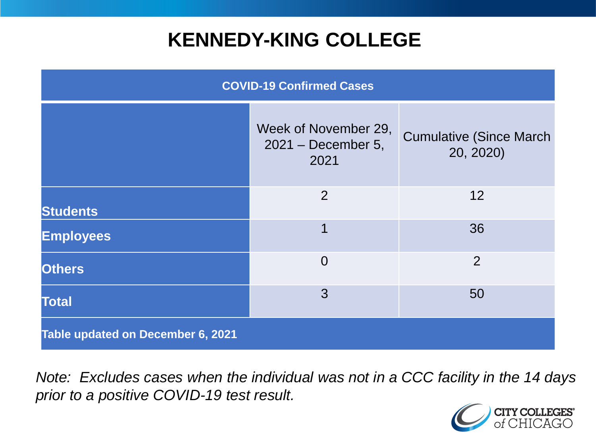## **KENNEDY-KING COLLEGE**

| <b>COVID-19 Confirmed Cases</b>   |                                                      |                                              |
|-----------------------------------|------------------------------------------------------|----------------------------------------------|
|                                   | Week of November 29,<br>$2021 - December 5,$<br>2021 | <b>Cumulative (Since March)</b><br>20, 2020) |
| <b>Students</b>                   | 2                                                    | 12                                           |
| <b>Employees</b>                  | 1                                                    | 36                                           |
| <b>Others</b>                     | $\overline{0}$                                       | $\overline{2}$                               |
| <b>Total</b>                      | 3                                                    | 50                                           |
| Table updated on December 6, 2021 |                                                      |                                              |

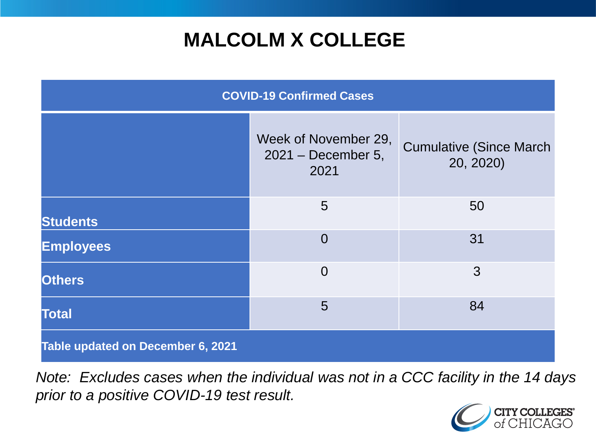# **MALCOLM X COLLEGE**

| <b>COVID-19 Confirmed Cases</b>   |                                                      |                                              |
|-----------------------------------|------------------------------------------------------|----------------------------------------------|
|                                   | Week of November 29,<br>$2021 - December 5,$<br>2021 | <b>Cumulative (Since March)</b><br>20, 2020) |
| <b>Students</b>                   | 5                                                    | 50                                           |
| <b>Employees</b>                  | $\Omega$                                             | 31                                           |
| <b>Others</b>                     | $\overline{0}$                                       | 3                                            |
| <b>Total</b>                      | 5                                                    | 84                                           |
| Table updated on December 6, 2021 |                                                      |                                              |

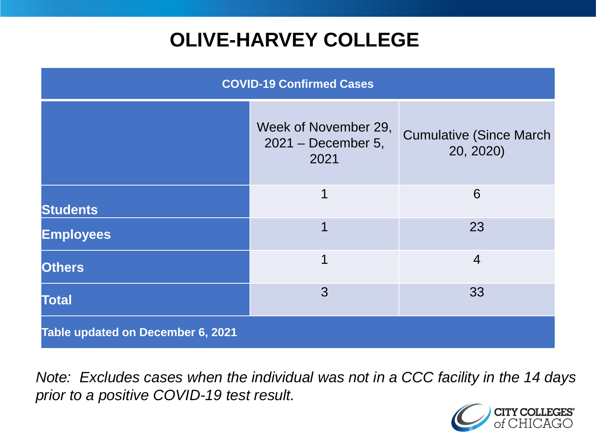# **OLIVE-HARVEY COLLEGE**

| <b>COVID-19 Confirmed Cases</b>   |                                                      |                                              |
|-----------------------------------|------------------------------------------------------|----------------------------------------------|
|                                   | Week of November 29,<br>$2021 - December 5,$<br>2021 | <b>Cumulative (Since March)</b><br>20, 2020) |
| <b>Students</b>                   | 1                                                    | 6                                            |
| <b>Employees</b>                  | 1                                                    | 23                                           |
| <b>Others</b>                     | 1                                                    | $\overline{4}$                               |
| <b>Total</b>                      | 3                                                    | 33                                           |
| Table updated on December 6, 2021 |                                                      |                                              |

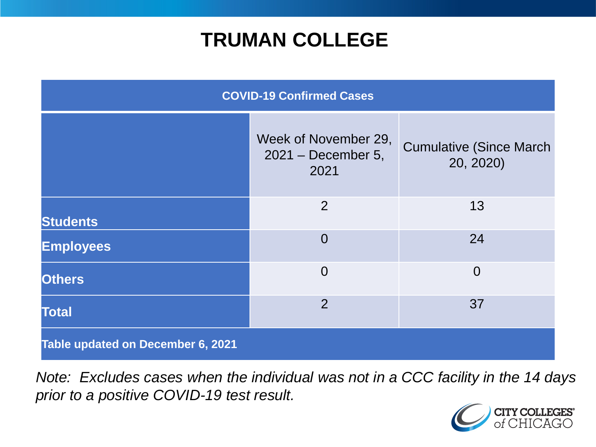## **TRUMAN COLLEGE**

| <b>COVID-19 Confirmed Cases</b>   |                                                      |                                              |
|-----------------------------------|------------------------------------------------------|----------------------------------------------|
|                                   | Week of November 29,<br>$2021 - December 5,$<br>2021 | <b>Cumulative (Since March)</b><br>20, 2020) |
| <b>Students</b>                   | $\overline{2}$                                       | 13                                           |
| <b>Employees</b>                  | $\overline{0}$                                       | 24                                           |
| <b>Others</b>                     | $\overline{0}$                                       | $\overline{0}$                               |
| <b>Total</b>                      | $\overline{2}$                                       | 37                                           |
| Table updated on December 6, 2021 |                                                      |                                              |

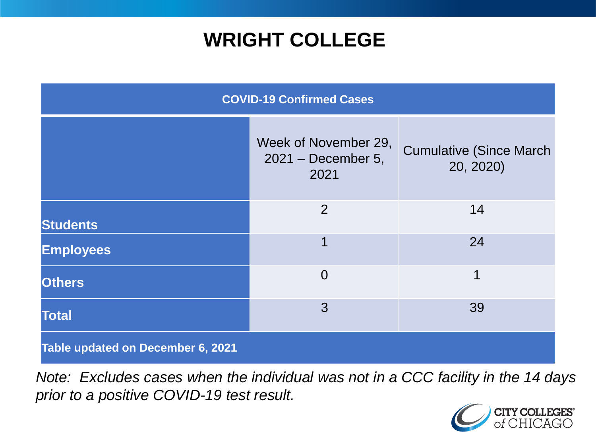# **WRIGHT COLLEGE**

| <b>COVID-19 Confirmed Cases</b>          |                                                    |                                              |
|------------------------------------------|----------------------------------------------------|----------------------------------------------|
|                                          | Week of November 29,<br>2021 - December 5,<br>2021 | <b>Cumulative (Since March)</b><br>20, 2020) |
| <b>Students</b>                          | $\overline{2}$                                     | 14                                           |
| <b>Employees</b>                         | 1                                                  | 24                                           |
| <b>Others</b>                            | $\overline{0}$                                     | 1                                            |
| <b>Total</b>                             | 3                                                  | 39                                           |
| <b>Table updated on December 6, 2021</b> |                                                    |                                              |